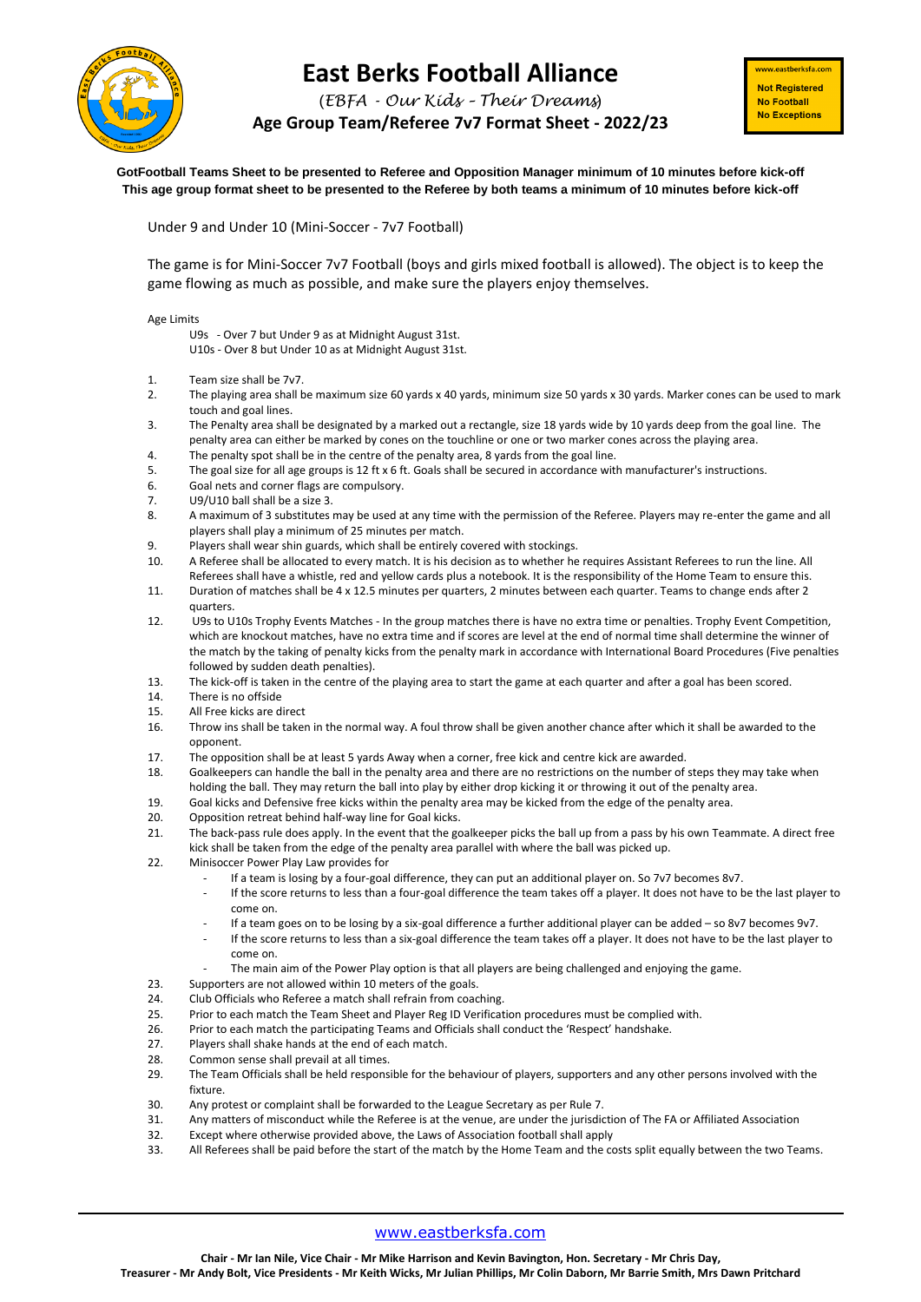

## **East Berks Football Alliance**

(*EBFA - Our Kids – Their Dreams*)

**Age Group Team/Referee 7v7 Format Sheet - 2022/23**

ww.eastberksfa.com **Not Registered** No Football **No Exceptions** 

**GotFootball Teams Sheet to be presented to Referee and Opposition Manager minimum of 10 minutes before kick-off This age group format sheet to be presented to the Referee by both teams a minimum of 10 minutes before kick-off**

Under 9 and Under 10 (Mini-Soccer - 7v7 Football)

The game is for Mini-Soccer 7v7 Football (boys and girls mixed football is allowed). The object is to keep the game flowing as much as possible, and make sure the players enjoy themselves.

Age Limits

U9s - Over 7 but Under 9 as at Midnight August 31st.

U10s - Over 8 but Under 10 as at Midnight August 31st.

- 1. Team size shall be 7v7.
- 2. The playing area shall be maximum size 60 yards x 40 yards, minimum size 50 yards x 30 yards. Marker cones can be used to mark touch and goal lines.
- 3. The Penalty area shall be designated by a marked out a rectangle, size 18 yards wide by 10 yards deep from the goal line. The penalty area can either be marked by cones on the touchline or one or two marker cones across the playing area.
- 4. The penalty spot shall be in the centre of the penalty area, 8 yards from the goal line.
- 5. The goal size for all age groups is 12 ft x 6 ft. Goals shall be secured in accordance with manufacturer's instructions.
- 6. Goal nets and corner flags are compulsory.
- 7. U9/U10 ball shall be a size 3.<br>8. A maximum of 3 substitutes r
- 8. A maximum of 3 substitutes may be used at any time with the permission of the Referee. Players may re-enter the game and all players shall play a minimum of 25 minutes per match.
- 9. Players shall wear shin guards, which shall be entirely covered with stockings.
- 10. A Referee shall be allocated to every match. It is his decision as to whether he requires Assistant Referees to run the line. All Referees shall have a whistle, red and yellow cards plus a notebook. It is the responsibility of the Home Team to ensure this.
- 11. Duration of matches shall be 4 x 12.5 minutes per quarters, 2 minutes between each quarter. Teams to change ends after 2 quarters.
- 12. U9s to U10s Trophy Events Matches In the group matches there is have no extra time or penalties. Trophy Event Competition, which are knockout matches, have no extra time and if scores are level at the end of normal time shall determine the winner of the match by the taking of penalty kicks from the penalty mark in accordance with International Board Procedures (Five penalties followed by sudden death penalties).
- 13. The kick-off is taken in the centre of the playing area to start the game at each quarter and after a goal has been scored.
- 14. There is no offside
- 15. All Free kicks are direct
- 16. Throw ins shall be taken in the normal way. A foul throw shall be given another chance after which it shall be awarded to the opponent.
- 17. The opposition shall be at least 5 yards Away when a corner, free kick and centre kick are awarded.
- 18. Goalkeepers can handle the ball in the penalty area and there are no restrictions on the number of steps they may take when
- holding the ball. They may return the ball into play by either drop kicking it or throwing it out of the penalty area.
- 19. Goal kicks and Defensive free kicks within the penalty area may be kicked from the edge of the penalty area.
- 20. Opposition retreat behind half-way line for Goal kicks.
- 21. The back-pass rule does apply. In the event that the goalkeeper picks the ball up from a pass by his own Teammate. A direct free kick shall be taken from the edge of the penalty area parallel with where the ball was picked up.
- 22. Minisoccer Power Play Law provides for
	- If a team is losing by a four-goal difference, they can put an additional player on. So 7v7 becomes 8v7.
	- If the score returns to less than a four-goal difference the team takes off a player. It does not have to be the last player to come on.
	- If a team goes on to be losing by a six-goal difference a further additional player can be added so 8v7 becomes 9v7.
	- If the score returns to less than a six-goal difference the team takes off a player. It does not have to be the last player to come on.
	- The main aim of the Power Play option is that all players are being challenged and enjoying the game.
- 23. Supporters are not allowed within 10 meters of the goals.
- 24. Club Officials who Referee a match shall refrain from coaching.
- 25. Prior to each match the Team Sheet and Player Reg ID Verification procedures must be complied with.
- 26. Prior to each match the participating Teams and Officials shall conduct the 'Respect' handshake.
- 27. Players shall shake hands at the end of each match.<br>28. Common sense shall prevail at all times.
- Common sense shall prevail at all times.
- 29. The Team Officials shall be held responsible for the behaviour of players, supporters and any other persons involved with the fixture.
- 30. Any protest or complaint shall be forwarded to the League Secretary as per Rule 7.
- 31. Any matters of misconduct while the Referee is at the venue, are under the jurisdiction of The FA or Affiliated Association
- 32. Except where otherwise provided above, the Laws of Association football shall apply
- 33. All Referees shall be paid before the start of the match by the Home Team and the costs split equally between the two Teams.

## [www.eastberksfa.com](http://www.eastberksfa.com/)

**Chair - Mr Ian Nile, Vice Chair - Mr Mike Harrison and Kevin Bavington, Hon. Secretary - Mr Chris Day, Treasurer - Mr Andy Bolt, Vice Presidents - Mr Keith Wicks, Mr Julian Phillips, Mr Colin Daborn, Mr Barrie Smith, Mrs Dawn Pritchard**